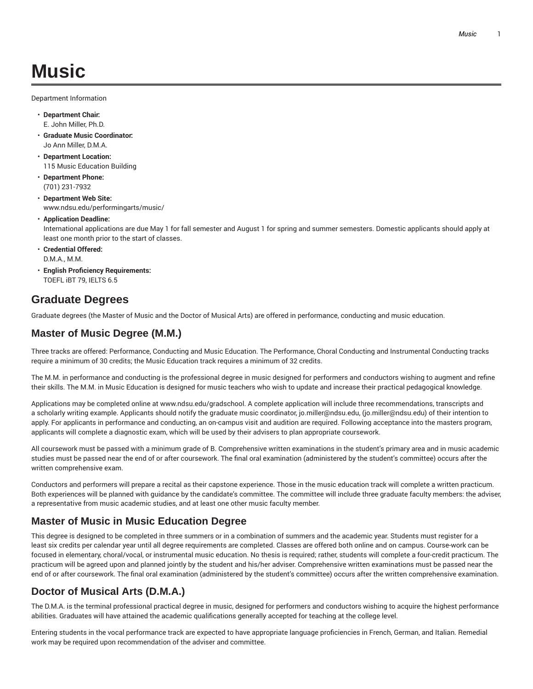# **Music**

Department Information

- **Department Chair:** E. John Miller, Ph.D.
- **Graduate Music Coordinator:** Jo Ann Miller, D.M.A.
- **Department Location:** 115 Music Education Building
- **Department Phone:** (701) 231-7932
- **Department Web Site:** www.ndsu.edu/performingarts/music/
- **Application Deadline:**

International applications are due May 1 for fall semester and August 1 for spring and summer semesters. Domestic applicants should apply at least one month prior to the start of classes.

- **Credential Offered:** D.M.A., M.M.
- **English Proficiency Requirements:** TOEFL iBT 79, IELTS 6.5

### **Graduate Degrees**

Graduate degrees (the Master of Music and the Doctor of Musical Arts) are offered in performance, conducting and music education.

### **Master of Music Degree (M.M.)**

Three tracks are offered: Performance, Conducting and Music Education. The Performance, Choral Conducting and Instrumental Conducting tracks require a minimum of 30 credits; the Music Education track requires a minimum of 32 credits.

The M.M. in performance and conducting is the professional degree in music designed for performers and conductors wishing to augment and refine their skills. The M.M. in Music Education is designed for music teachers who wish to update and increase their practical pedagogical knowledge.

Applications may be completed online at www.ndsu.edu/gradschool. A complete application will include three recommendations, transcripts and a scholarly writing example. Applicants should notify the graduate music coordinator, jo.miller@ndsu.edu, (jo.miller@ndsu.edu) of their intention to apply. For applicants in performance and conducting, an on-campus visit and audition are required. Following acceptance into the masters program, applicants will complete a diagnostic exam, which will be used by their advisers to plan appropriate coursework.

All coursework must be passed with a minimum grade of B. Comprehensive written examinations in the student's primary area and in music academic studies must be passed near the end of or after coursework. The final oral examination (administered by the student's committee) occurs after the written comprehensive exam.

Conductors and performers will prepare a recital as their capstone experience. Those in the music education track will complete a written practicum. Both experiences will be planned with guidance by the candidate's committee. The committee will include three graduate faculty members: the adviser, a representative from music academic studies, and at least one other music faculty member.

### **Master of Music in Music Education Degree**

This degree is designed to be completed in three summers or in a combination of summers and the academic year. Students must register for a least six credits per calendar year until all degree requirements are completed. Classes are offered both online and on campus. Course-work can be focused in elementary, choral/vocal, or instrumental music education. No thesis is required; rather, students will complete a four-credit practicum. The practicum will be agreed upon and planned jointly by the student and his/her adviser. Comprehensive written examinations must be passed near the end of or after coursework. The final oral examination (administered by the student's committee) occurs after the written comprehensive examination.

### **Doctor of Musical Arts (D.M.A.)**

The D.M.A. is the terminal professional practical degree in music, designed for performers and conductors wishing to acquire the highest performance abilities. Graduates will have attained the academic qualifications generally accepted for teaching at the college level.

Entering students in the vocal performance track are expected to have appropriate language proficiencies in French, German, and Italian. Remedial work may be required upon recommendation of the adviser and committee.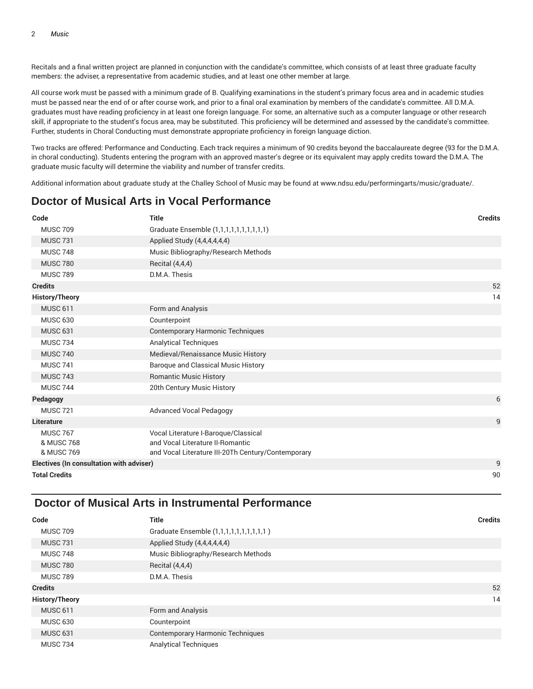Recitals and a final written project are planned in conjunction with the candidate's committee, which consists of at least three graduate faculty members: the adviser, a representative from academic studies, and at least one other member at large.

All course work must be passed with a minimum grade of B. Qualifying examinations in the student's primary focus area and in academic studies must be passed near the end of or after course work, and prior to a final oral examination by members of the candidate's committee. All D.M.A. graduates must have reading proficiency in at least one foreign language. For some, an alternative such as a computer language or other research skill, if appropriate to the student's focus area, may be substituted. This proficiency will be determined and assessed by the candidate's committee. Further, students in Choral Conducting must demonstrate appropriate proficiency in foreign language diction.

Two tracks are offered: Performance and Conducting. Each track requires a minimum of 90 credits beyond the baccalaureate degree (93 for the D.M.A. in choral conducting). Students entering the program with an approved master's degree or its equivalent may apply credits toward the D.M.A. The graduate music faculty will determine the viability and number of transfer credits.

Additional information about graduate study at the Challey School of Music may be found at www.ndsu.edu/performingarts/music/graduate/.

### **Doctor of Musical Arts in Vocal Performance**

| Code                                     | <b>Title</b>                                                                           | <b>Credits</b> |
|------------------------------------------|----------------------------------------------------------------------------------------|----------------|
| <b>MUSC 709</b>                          | Graduate Ensemble (1,1,1,1,1,1,1,1,1,1,1)                                              |                |
| <b>MUSC 731</b>                          | Applied Study (4,4,4,4,4,4)                                                            |                |
| <b>MUSC 748</b>                          | Music Bibliography/Research Methods                                                    |                |
| <b>MUSC 780</b>                          | Recital (4,4,4)                                                                        |                |
| <b>MUSC 789</b>                          | D.M.A. Thesis                                                                          |                |
| <b>Credits</b>                           |                                                                                        | 52             |
| <b>History/Theory</b>                    |                                                                                        | 14             |
| <b>MUSC 611</b>                          | Form and Analysis                                                                      |                |
| <b>MUSC 630</b>                          | Counterpoint                                                                           |                |
| <b>MUSC 631</b>                          | <b>Contemporary Harmonic Techniques</b>                                                |                |
| <b>MUSC 734</b>                          | <b>Analytical Techniques</b>                                                           |                |
| <b>MUSC 740</b>                          | Medieval/Renaissance Music History                                                     |                |
| <b>MUSC 741</b>                          | <b>Baroque and Classical Music History</b>                                             |                |
| <b>MUSC 743</b>                          | <b>Romantic Music History</b>                                                          |                |
| <b>MUSC 744</b>                          | 20th Century Music History                                                             |                |
| Pedagogy                                 |                                                                                        | 6              |
| <b>MUSC 721</b>                          | <b>Advanced Vocal Pedagogy</b>                                                         |                |
| Literature                               |                                                                                        | 9              |
| <b>MUSC 767</b>                          | Vocal Literature I-Baroque/Classical                                                   |                |
| & MUSC 768<br>& MUSC 769                 | and Vocal Literature II-Romantic<br>and Vocal Literature III-20Th Century/Contemporary |                |
| Electives (In consultation with adviser) |                                                                                        | 9              |
| <b>Total Credits</b>                     |                                                                                        | 90             |

### **Doctor of Musical Arts in Instrumental Performance**

| Code                  | <b>Title</b>                              | <b>Credits</b> |
|-----------------------|-------------------------------------------|----------------|
| <b>MUSC 709</b>       | Graduate Ensemble (1,1,1,1,1,1,1,1,1,1,1) |                |
| <b>MUSC 731</b>       | Applied Study (4,4,4,4,4,4)               |                |
| <b>MUSC 748</b>       | Music Bibliography/Research Methods       |                |
| <b>MUSC 780</b>       | Recital (4,4,4)                           |                |
| <b>MUSC 789</b>       | D.M.A. Thesis                             |                |
| <b>Credits</b>        |                                           | 52             |
| <b>History/Theory</b> |                                           | 14             |
| <b>MUSC 611</b>       | Form and Analysis                         |                |
| <b>MUSC 630</b>       | Counterpoint                              |                |
| <b>MUSC 631</b>       | <b>Contemporary Harmonic Techniques</b>   |                |
| <b>MUSC 734</b>       | <b>Analytical Techniques</b>              |                |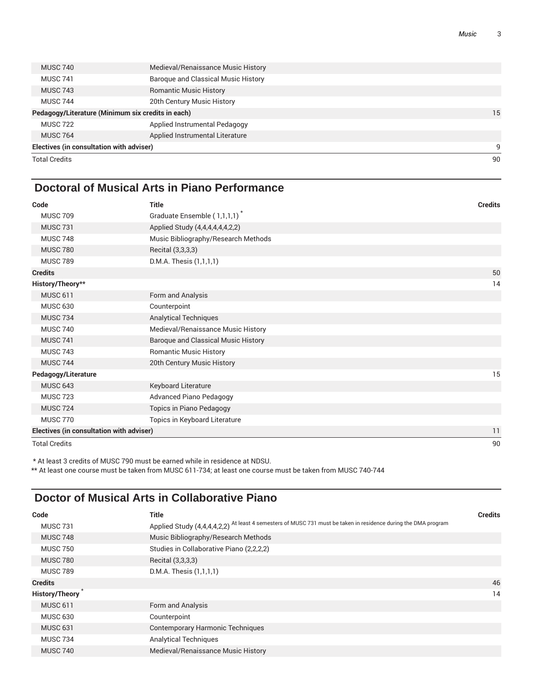| <b>Total Credits</b>                     |                                                   | 90 |
|------------------------------------------|---------------------------------------------------|----|
| Electives (in consultation with adviser) |                                                   | 9  |
| <b>MUSC 764</b>                          | Applied Instrumental Literature                   |    |
| <b>MUSC 722</b>                          | Applied Instrumental Pedagogy                     |    |
|                                          | Pedagogy/Literature (Minimum six credits in each) | 15 |
| <b>MUSC 744</b>                          | 20th Century Music History                        |    |
| <b>MUSC 743</b>                          | <b>Romantic Music History</b>                     |    |
| <b>MUSC 741</b>                          | Baroque and Classical Music History               |    |
| <b>MUSC 740</b>                          | Medieval/Renaissance Music History                |    |
|                                          |                                                   |    |

### **Doctoral of Musical Arts in Piano Performance**

| Code                                     | <b>Title</b>                             | <b>Credits</b> |
|------------------------------------------|------------------------------------------|----------------|
| <b>MUSC 709</b>                          | Graduate Ensemble (1,1,1,1) <sup>*</sup> |                |
| <b>MUSC 731</b>                          | Applied Study (4,4,4,4,4,4,2,2)          |                |
| <b>MUSC 748</b>                          | Music Bibliography/Research Methods      |                |
| <b>MUSC 780</b>                          | Recital (3,3,3,3)                        |                |
| <b>MUSC 789</b>                          | D.M.A. Thesis (1,1,1,1)                  |                |
| <b>Credits</b>                           |                                          | 50             |
| History/Theory**                         |                                          | 14             |
| <b>MUSC 611</b>                          | Form and Analysis                        |                |
| <b>MUSC 630</b>                          | Counterpoint                             |                |
| <b>MUSC 734</b>                          | <b>Analytical Techniques</b>             |                |
| <b>MUSC 740</b>                          | Medieval/Renaissance Music History       |                |
| <b>MUSC 741</b>                          | Baroque and Classical Music History      |                |
| <b>MUSC 743</b>                          | <b>Romantic Music History</b>            |                |
| <b>MUSC 744</b>                          | 20th Century Music History               |                |
| Pedagogy/Literature                      |                                          | 15             |
| <b>MUSC 643</b>                          | Keyboard Literature                      |                |
| <b>MUSC 723</b>                          | <b>Advanced Piano Pedagogy</b>           |                |
| <b>MUSC 724</b>                          | Topics in Piano Pedagogy                 |                |
| <b>MUSC 770</b>                          | Topics in Keyboard Literature            |                |
| Electives (in consultation with adviser) |                                          | 11             |
| <b>Total Credits</b>                     |                                          | 90             |

\* At least 3 credits of MUSC 790 must be earned while in residence at NDSU.

\*\* At least one course must be taken from MUSC 611-734; at least one course must be taken from MUSC 740-744

### **Doctor of Musical Arts in Collaborative Piano**

| Code                  | <b>Title</b>                                                                                                   | <b>Credits</b> |
|-----------------------|----------------------------------------------------------------------------------------------------------------|----------------|
| <b>MUSC 731</b>       | Applied Study (4,4,4,4,2,2) At least 4 semesters of MUSC 731 must be taken in residence during the DMA program |                |
| <b>MUSC 748</b>       | Music Bibliography/Research Methods                                                                            |                |
| <b>MUSC 750</b>       | Studies in Collaborative Piano (2,2,2,2)                                                                       |                |
| <b>MUSC 780</b>       | Recital (3,3,3,3)                                                                                              |                |
| <b>MUSC 789</b>       | D.M.A. Thesis (1,1,1,1)                                                                                        |                |
| <b>Credits</b>        |                                                                                                                | 46             |
| <b>History/Theory</b> |                                                                                                                | 14             |
| <b>MUSC 611</b>       | Form and Analysis                                                                                              |                |
| <b>MUSC 630</b>       | Counterpoint                                                                                                   |                |
| <b>MUSC 631</b>       | <b>Contemporary Harmonic Techniques</b>                                                                        |                |
| <b>MUSC 734</b>       | <b>Analytical Techniques</b>                                                                                   |                |
| <b>MUSC 740</b>       | Medieval/Renaissance Music History                                                                             |                |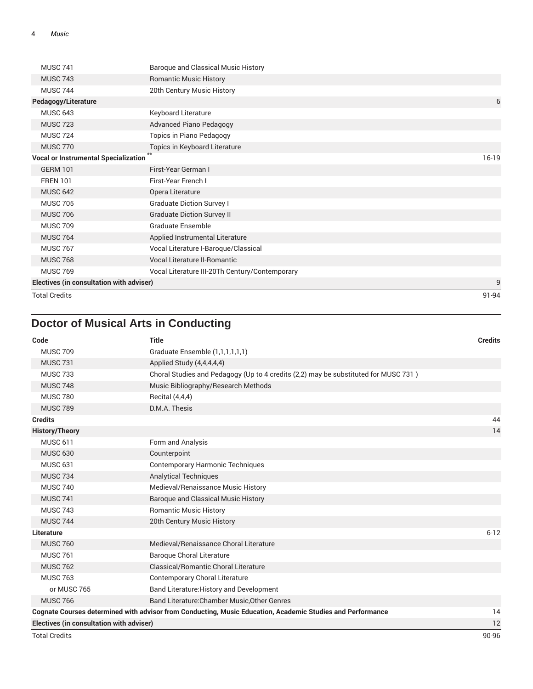| <b>MUSC 741</b>                             | <b>Baroque and Classical Music History</b>     |         |
|---------------------------------------------|------------------------------------------------|---------|
| <b>MUSC 743</b>                             | <b>Romantic Music History</b>                  |         |
| <b>MUSC 744</b>                             | 20th Century Music History                     |         |
| Pedagogy/Literature                         |                                                | 6       |
| <b>MUSC 643</b>                             | Keyboard Literature                            |         |
| <b>MUSC 723</b>                             | <b>Advanced Piano Pedagogy</b>                 |         |
| <b>MUSC 724</b>                             | Topics in Piano Pedagogy                       |         |
| <b>MUSC 770</b>                             | Topics in Keyboard Literature                  |         |
| <b>Vocal or Instrumental Specialization</b> |                                                | $16-19$ |
| <b>GERM 101</b>                             | First-Year German I                            |         |
| <b>FREN 101</b>                             | First-Year French I                            |         |
| <b>MUSC 642</b>                             | Opera Literature                               |         |
| <b>MUSC 705</b>                             | <b>Graduate Diction Survey I</b>               |         |
| <b>MUSC 706</b>                             | <b>Graduate Diction Survey II</b>              |         |
| <b>MUSC 709</b>                             | Graduate Ensemble                              |         |
| <b>MUSC 764</b>                             | Applied Instrumental Literature                |         |
| <b>MUSC 767</b>                             | Vocal Literature I-Baroque/Classical           |         |
| <b>MUSC 768</b>                             | <b>Vocal Literature II-Romantic</b>            |         |
| <b>MUSC 769</b>                             | Vocal Literature III-20Th Century/Contemporary |         |
| Electives (in consultation with adviser)    |                                                | 9       |
| <b>Total Credits</b>                        |                                                | 91-94   |

# **Doctor of Musical Arts in Conducting**

| Code                                     | <b>Title</b>                                                                                               | <b>Credits</b> |
|------------------------------------------|------------------------------------------------------------------------------------------------------------|----------------|
| <b>MUSC 709</b>                          | Graduate Ensemble (1,1,1,1,1,1)                                                                            |                |
| <b>MUSC 731</b>                          | Applied Study (4,4,4,4,4)                                                                                  |                |
| <b>MUSC 733</b>                          | Choral Studies and Pedagogy (Up to 4 credits (2,2) may be substituted for MUSC 731)                        |                |
| <b>MUSC 748</b>                          | Music Bibliography/Research Methods                                                                        |                |
| <b>MUSC 780</b>                          | Recital (4,4,4)                                                                                            |                |
| <b>MUSC 789</b>                          | D.M.A. Thesis                                                                                              |                |
| <b>Credits</b>                           |                                                                                                            | 44             |
| <b>History/Theory</b>                    |                                                                                                            | 14             |
| <b>MUSC 611</b>                          | Form and Analysis                                                                                          |                |
| <b>MUSC 630</b>                          | Counterpoint                                                                                               |                |
| <b>MUSC 631</b>                          | <b>Contemporary Harmonic Techniques</b>                                                                    |                |
| <b>MUSC 734</b>                          | <b>Analytical Techniques</b>                                                                               |                |
| <b>MUSC 740</b>                          | Medieval/Renaissance Music History                                                                         |                |
| <b>MUSC 741</b>                          | <b>Baroque and Classical Music History</b>                                                                 |                |
| <b>MUSC 743</b>                          | <b>Romantic Music History</b>                                                                              |                |
| <b>MUSC 744</b>                          | 20th Century Music History                                                                                 |                |
| Literature                               |                                                                                                            | $6 - 12$       |
| <b>MUSC 760</b>                          | Medieval/Renaissance Choral Literature                                                                     |                |
| <b>MUSC 761</b>                          | <b>Baroque Choral Literature</b>                                                                           |                |
| <b>MUSC 762</b>                          | Classical/Romantic Choral Literature                                                                       |                |
| <b>MUSC 763</b>                          | Contemporary Choral Literature                                                                             |                |
| or MUSC 765                              | Band Literature: History and Development                                                                   |                |
| <b>MUSC 766</b>                          | Band Literature: Chamber Music, Other Genres                                                               |                |
|                                          | Cognate Courses determined with advisor from Conducting, Music Education, Academic Studies and Performance | 14             |
| Electives (in consultation with adviser) |                                                                                                            | 12             |

Total Credits 90-96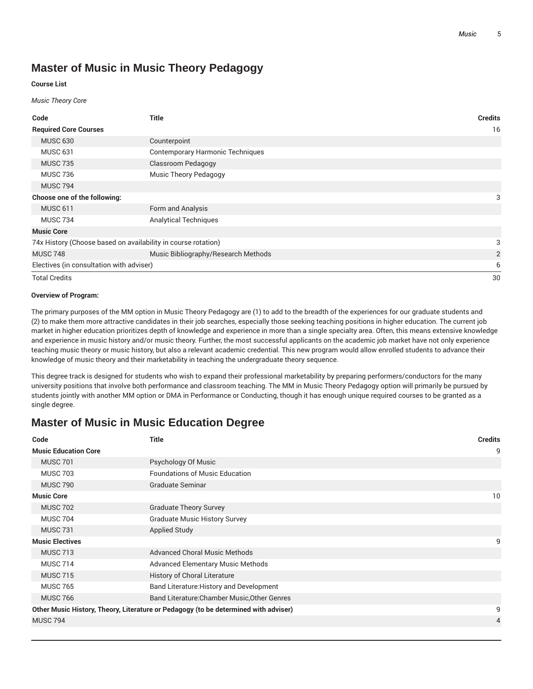# **Master of Music in Music Theory Pedagogy**

#### **Course List**

#### *Music Theory Core*

| Code                                                          | <b>Title</b>                            | <b>Credits</b> |
|---------------------------------------------------------------|-----------------------------------------|----------------|
| <b>Required Core Courses</b>                                  |                                         | 16             |
| <b>MUSC 630</b>                                               | Counterpoint                            |                |
| <b>MUSC 631</b>                                               | <b>Contemporary Harmonic Techniques</b> |                |
| <b>MUSC 735</b>                                               | <b>Classroom Pedagogy</b>               |                |
| <b>MUSC 736</b>                                               | <b>Music Theory Pedagogy</b>            |                |
| <b>MUSC 794</b>                                               |                                         |                |
| Choose one of the following:                                  |                                         | 3              |
| <b>MUSC 611</b>                                               | Form and Analysis                       |                |
| <b>MUSC 734</b>                                               | <b>Analytical Techniques</b>            |                |
| <b>Music Core</b>                                             |                                         |                |
| 74x History (Choose based on availability in course rotation) |                                         | 3              |
| <b>MUSC 748</b>                                               | Music Bibliography/Research Methods     | $\overline{2}$ |
| Electives (in consultation with adviser)                      |                                         | 6              |
| <b>Total Credits</b>                                          |                                         | 30             |

#### **Overview of Program:**

The primary purposes of the MM option in Music Theory Pedagogy are (1) to add to the breadth of the experiences for our graduate students and (2) to make them more attractive candidates in their job searches, especially those seeking teaching positions in higher education. The current job market in higher education prioritizes depth of knowledge and experience in more than a single specialty area. Often, this means extensive knowledge and experience in music history and/or music theory. Further, the most successful applicants on the academic job market have not only experience teaching music theory or music history, but also a relevant academic credential. This new program would allow enrolled students to advance their knowledge of music theory and their marketability in teaching the undergraduate theory sequence.

This degree track is designed for students who wish to expand their professional marketability by preparing performers/conductors for the many university positions that involve both performance and classroom teaching. The MM in Music Theory Pedagogy option will primarily be pursued by students jointly with another MM option or DMA in Performance or Conducting, though it has enough unique required courses to be granted as a single degree.

## **Master of Music in Music Education Degree**

| 9<br><b>Music Education Core</b><br><b>MUSC 701</b><br>Psychology Of Music<br><b>Foundations of Music Education</b><br><b>MUSC 703</b><br><b>Graduate Seminar</b><br><b>MUSC 790</b><br><b>Music Core</b><br>10<br><b>MUSC 702</b><br><b>Graduate Theory Survey</b><br><b>MUSC 704</b><br><b>Graduate Music History Survey</b><br><b>Applied Study</b><br><b>MUSC 731</b><br><b>Music Electives</b><br>9<br><b>MUSC 713</b><br><b>Advanced Choral Music Methods</b><br><b>MUSC 714</b><br><b>Advanced Elementary Music Methods</b> | Code            | <b>Title</b>                 | <b>Credits</b> |
|------------------------------------------------------------------------------------------------------------------------------------------------------------------------------------------------------------------------------------------------------------------------------------------------------------------------------------------------------------------------------------------------------------------------------------------------------------------------------------------------------------------------------------|-----------------|------------------------------|----------------|
|                                                                                                                                                                                                                                                                                                                                                                                                                                                                                                                                    |                 |                              |                |
|                                                                                                                                                                                                                                                                                                                                                                                                                                                                                                                                    |                 |                              |                |
|                                                                                                                                                                                                                                                                                                                                                                                                                                                                                                                                    |                 |                              |                |
|                                                                                                                                                                                                                                                                                                                                                                                                                                                                                                                                    |                 |                              |                |
|                                                                                                                                                                                                                                                                                                                                                                                                                                                                                                                                    |                 |                              |                |
|                                                                                                                                                                                                                                                                                                                                                                                                                                                                                                                                    |                 |                              |                |
|                                                                                                                                                                                                                                                                                                                                                                                                                                                                                                                                    |                 |                              |                |
|                                                                                                                                                                                                                                                                                                                                                                                                                                                                                                                                    |                 |                              |                |
|                                                                                                                                                                                                                                                                                                                                                                                                                                                                                                                                    |                 |                              |                |
|                                                                                                                                                                                                                                                                                                                                                                                                                                                                                                                                    |                 |                              |                |
|                                                                                                                                                                                                                                                                                                                                                                                                                                                                                                                                    |                 |                              |                |
|                                                                                                                                                                                                                                                                                                                                                                                                                                                                                                                                    | <b>MUSC 715</b> | History of Choral Literature |                |
| Band Literature: History and Development<br><b>MUSC 765</b>                                                                                                                                                                                                                                                                                                                                                                                                                                                                        |                 |                              |                |
| Band Literature: Chamber Music, Other Genres<br><b>MUSC 766</b>                                                                                                                                                                                                                                                                                                                                                                                                                                                                    |                 |                              |                |
| Other Music History, Theory, Literature or Pedagogy (to be determined with adviser)<br>9                                                                                                                                                                                                                                                                                                                                                                                                                                           |                 |                              |                |
| <b>MUSC 794</b><br>$\overline{4}$                                                                                                                                                                                                                                                                                                                                                                                                                                                                                                  |                 |                              |                |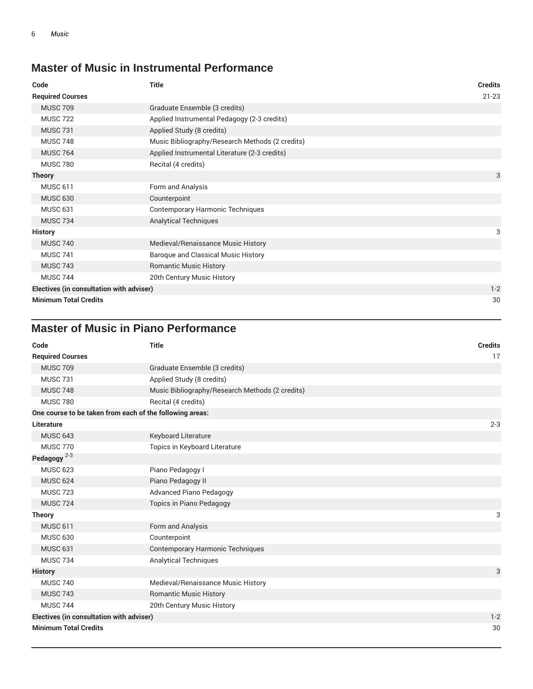# **Master of Music in Instrumental Performance**

| Code                                            | <b>Title</b>                                    | <b>Credits</b> |
|-------------------------------------------------|-------------------------------------------------|----------------|
| <b>Required Courses</b>                         |                                                 | $21 - 23$      |
| <b>MUSC 709</b>                                 | Graduate Ensemble (3 credits)                   |                |
| <b>MUSC 722</b>                                 | Applied Instrumental Pedagogy (2-3 credits)     |                |
| <b>MUSC 731</b>                                 | Applied Study (8 credits)                       |                |
| <b>MUSC 748</b>                                 | Music Bibliography/Research Methods (2 credits) |                |
| <b>MUSC 764</b>                                 | Applied Instrumental Literature (2-3 credits)   |                |
| <b>MUSC 780</b>                                 | Recital (4 credits)                             |                |
| <b>Theory</b>                                   |                                                 | 3              |
| <b>MUSC 611</b>                                 | Form and Analysis                               |                |
| <b>MUSC 630</b>                                 | Counterpoint                                    |                |
| <b>MUSC 631</b>                                 | <b>Contemporary Harmonic Techniques</b>         |                |
| <b>MUSC 734</b>                                 | <b>Analytical Techniques</b>                    |                |
| <b>History</b>                                  |                                                 | 3              |
| <b>MUSC 740</b>                                 | Medieval/Renaissance Music History              |                |
| <b>MUSC 741</b>                                 | Baroque and Classical Music History             |                |
| <b>MUSC 743</b>                                 | <b>Romantic Music History</b>                   |                |
| <b>MUSC 744</b>                                 | 20th Century Music History                      |                |
| <b>Electives (in consultation with adviser)</b> |                                                 | $1 - 2$        |
| <b>Minimum Total Credits</b>                    |                                                 | 30             |

# **Master of Music in Piano Performance**

| Code                                                     | <b>Title</b>                                    | <b>Credits</b> |
|----------------------------------------------------------|-------------------------------------------------|----------------|
| <b>Required Courses</b>                                  |                                                 | 17             |
| <b>MUSC 709</b>                                          | Graduate Ensemble (3 credits)                   |                |
| <b>MUSC 731</b>                                          | Applied Study (8 credits)                       |                |
| <b>MUSC 748</b>                                          | Music Bibliography/Research Methods (2 credits) |                |
| <b>MUSC 780</b>                                          | Recital (4 credits)                             |                |
| One course to be taken from each of the following areas: |                                                 |                |
| <b>Literature</b>                                        |                                                 | $2 - 3$        |
| <b>MUSC 643</b>                                          | Keyboard Literature                             |                |
| <b>MUSC 770</b>                                          | Topics in Keyboard Literature                   |                |
| Pedagogy $2-3$                                           |                                                 |                |
| <b>MUSC 623</b>                                          | Piano Pedagogy I                                |                |
| <b>MUSC 624</b>                                          | Piano Pedagogy II                               |                |
| <b>MUSC 723</b>                                          | <b>Advanced Piano Pedagogy</b>                  |                |
| <b>MUSC 724</b>                                          | <b>Topics in Piano Pedagogy</b>                 |                |
| <b>Theory</b>                                            |                                                 | 3              |
| <b>MUSC 611</b>                                          | Form and Analysis                               |                |
| <b>MUSC 630</b>                                          | Counterpoint                                    |                |
| <b>MUSC 631</b>                                          | <b>Contemporary Harmonic Techniques</b>         |                |
| <b>MUSC 734</b>                                          | <b>Analytical Techniques</b>                    |                |
| <b>History</b>                                           |                                                 | 3              |
| <b>MUSC 740</b>                                          | Medieval/Renaissance Music History              |                |
| <b>MUSC 743</b>                                          | <b>Romantic Music History</b>                   |                |
| <b>MUSC 744</b>                                          | 20th Century Music History                      |                |
| Electives (in consultation with adviser)                 |                                                 | $1 - 2$        |
| <b>Minimum Total Credits</b>                             |                                                 | 30             |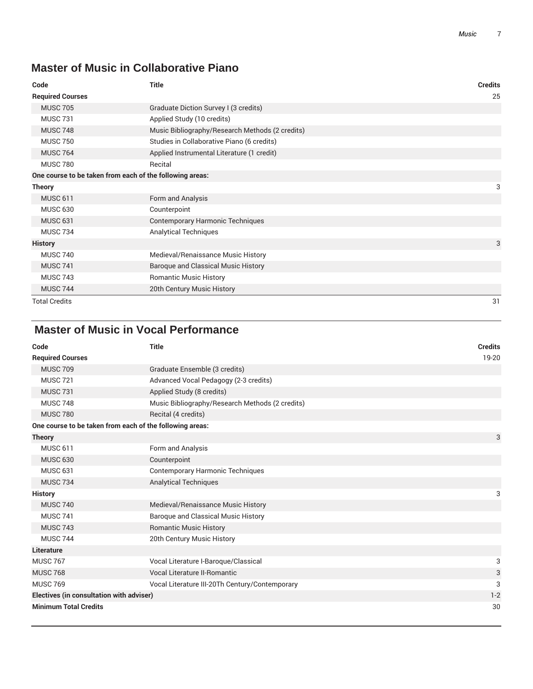# **Master of Music in Collaborative Piano**

| Code                                                     | <b>Title</b>                                    | <b>Credits</b> |
|----------------------------------------------------------|-------------------------------------------------|----------------|
| <b>Required Courses</b>                                  |                                                 | 25             |
| <b>MUSC 705</b>                                          | Graduate Diction Survey I (3 credits)           |                |
| <b>MUSC 731</b>                                          | Applied Study (10 credits)                      |                |
| <b>MUSC 748</b>                                          | Music Bibliography/Research Methods (2 credits) |                |
| <b>MUSC 750</b>                                          | Studies in Collaborative Piano (6 credits)      |                |
| <b>MUSC 764</b>                                          | Applied Instrumental Literature (1 credit)      |                |
| <b>MUSC 780</b>                                          | Recital                                         |                |
| One course to be taken from each of the following areas: |                                                 |                |
| <b>Theory</b>                                            |                                                 | 3              |
| <b>MUSC 611</b>                                          | Form and Analysis                               |                |
| <b>MUSC 630</b>                                          | Counterpoint                                    |                |
| <b>MUSC 631</b>                                          | <b>Contemporary Harmonic Techniques</b>         |                |
| <b>MUSC 734</b>                                          | <b>Analytical Techniques</b>                    |                |
| <b>History</b>                                           |                                                 | 3              |
| <b>MUSC 740</b>                                          | Medieval/Renaissance Music History              |                |
| <b>MUSC 741</b>                                          | Baroque and Classical Music History             |                |
| <b>MUSC 743</b>                                          | <b>Romantic Music History</b>                   |                |
| <b>MUSC 744</b>                                          | 20th Century Music History                      |                |
| <b>Total Credits</b>                                     |                                                 | 31             |

# **Master of Music in Vocal Performance**

| Code                                                     | <b>Title</b>                                    | <b>Credits</b> |
|----------------------------------------------------------|-------------------------------------------------|----------------|
| <b>Required Courses</b>                                  |                                                 | 19-20          |
| <b>MUSC 709</b>                                          | Graduate Ensemble (3 credits)                   |                |
| <b>MUSC 721</b>                                          | Advanced Vocal Pedagogy (2-3 credits)           |                |
| <b>MUSC 731</b>                                          | Applied Study (8 credits)                       |                |
| <b>MUSC 748</b>                                          | Music Bibliography/Research Methods (2 credits) |                |
| <b>MUSC 780</b>                                          | Recital (4 credits)                             |                |
| One course to be taken from each of the following areas: |                                                 |                |
| <b>Theory</b>                                            |                                                 | 3              |
| <b>MUSC 611</b>                                          | Form and Analysis                               |                |
| <b>MUSC 630</b>                                          | Counterpoint                                    |                |
| <b>MUSC 631</b>                                          | <b>Contemporary Harmonic Techniques</b>         |                |
| <b>MUSC 734</b>                                          | <b>Analytical Techniques</b>                    |                |
| <b>History</b>                                           |                                                 | 3              |
| <b>MUSC 740</b>                                          | Medieval/Renaissance Music History              |                |
| <b>MUSC 741</b>                                          | Baroque and Classical Music History             |                |
| <b>MUSC 743</b>                                          | <b>Romantic Music History</b>                   |                |
| <b>MUSC 744</b>                                          | 20th Century Music History                      |                |
| Literature                                               |                                                 |                |
| <b>MUSC 767</b>                                          | Vocal Literature I-Baroque/Classical            | 3              |
| <b>MUSC 768</b>                                          | Vocal Literature II-Romantic                    | 3              |
| <b>MUSC 769</b>                                          | Vocal Literature III-20Th Century/Contemporary  | 3              |
| Electives (in consultation with adviser)                 |                                                 | $1 - 2$        |
| <b>Minimum Total Credits</b>                             |                                                 | 30             |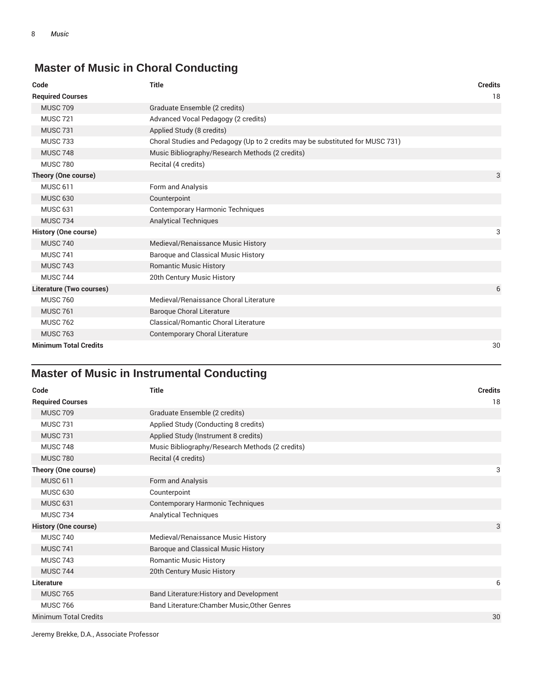# **Master of Music in Choral Conducting**

| Code                         | <b>Title</b>                                                                  | <b>Credits</b> |
|------------------------------|-------------------------------------------------------------------------------|----------------|
| <b>Required Courses</b>      |                                                                               | 18             |
| <b>MUSC 709</b>              | Graduate Ensemble (2 credits)                                                 |                |
| <b>MUSC 721</b>              | Advanced Vocal Pedagogy (2 credits)                                           |                |
| <b>MUSC 731</b>              | Applied Study (8 credits)                                                     |                |
| <b>MUSC 733</b>              | Choral Studies and Pedagogy (Up to 2 credits may be substituted for MUSC 731) |                |
| <b>MUSC 748</b>              | Music Bibliography/Research Methods (2 credits)                               |                |
| <b>MUSC 780</b>              | Recital (4 credits)                                                           |                |
| Theory (One course)          |                                                                               | 3              |
| <b>MUSC 611</b>              | Form and Analysis                                                             |                |
| <b>MUSC 630</b>              | Counterpoint                                                                  |                |
| <b>MUSC 631</b>              | <b>Contemporary Harmonic Techniques</b>                                       |                |
| <b>MUSC 734</b>              | <b>Analytical Techniques</b>                                                  |                |
| <b>History (One course)</b>  |                                                                               | 3              |
| <b>MUSC 740</b>              | Medieval/Renaissance Music History                                            |                |
| <b>MUSC 741</b>              | Baroque and Classical Music History                                           |                |
| <b>MUSC 743</b>              | <b>Romantic Music History</b>                                                 |                |
| <b>MUSC 744</b>              | 20th Century Music History                                                    |                |
| Literature (Two courses)     |                                                                               | 6              |
| <b>MUSC 760</b>              | Medieval/Renaissance Choral Literature                                        |                |
| <b>MUSC 761</b>              | <b>Baroque Choral Literature</b>                                              |                |
| <b>MUSC 762</b>              | Classical/Romantic Choral Literature                                          |                |
| <b>MUSC 763</b>              | <b>Contemporary Choral Literature</b>                                         |                |
| <b>Minimum Total Credits</b> |                                                                               | 30             |

# **Master of Music in Instrumental Conducting**

| Code                        | <b>Title</b>                                    | <b>Credits</b> |
|-----------------------------|-------------------------------------------------|----------------|
| <b>Required Courses</b>     |                                                 | 18             |
| <b>MUSC 709</b>             | Graduate Ensemble (2 credits)                   |                |
| <b>MUSC 731</b>             | Applied Study (Conducting 8 credits)            |                |
| <b>MUSC 731</b>             | Applied Study (Instrument 8 credits)            |                |
| <b>MUSC 748</b>             | Music Bibliography/Research Methods (2 credits) |                |
| <b>MUSC 780</b>             | Recital (4 credits)                             |                |
| Theory (One course)         |                                                 | 3              |
| <b>MUSC 611</b>             | Form and Analysis                               |                |
| <b>MUSC 630</b>             | Counterpoint                                    |                |
| <b>MUSC 631</b>             | <b>Contemporary Harmonic Techniques</b>         |                |
| <b>MUSC 734</b>             | <b>Analytical Techniques</b>                    |                |
| <b>History (One course)</b> |                                                 | 3              |
| <b>MUSC 740</b>             | Medieval/Renaissance Music History              |                |
| <b>MUSC 741</b>             | Baroque and Classical Music History             |                |
| <b>MUSC 743</b>             | <b>Romantic Music History</b>                   |                |
| <b>MUSC 744</b>             | 20th Century Music History                      |                |
| Literature                  |                                                 | 6              |
| <b>MUSC 765</b>             | Band Literature: History and Development        |                |
| <b>MUSC 766</b>             | Band Literature: Chamber Music, Other Genres    |                |
| Minimum Total Credits       |                                                 | 30             |

Jeremy Brekke, D.A., Associate Professor